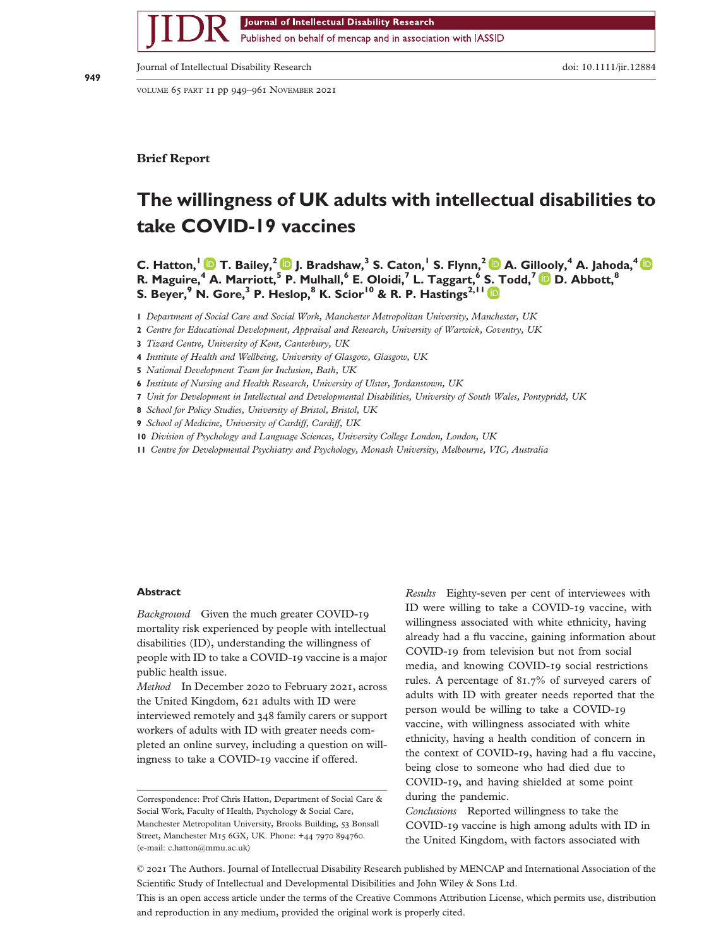Journal of Intellectual Disability Research

Published on behalf of mencap and in association with IASSID

Journal of Intellectual Disability Research doi: 10.1111/jir.12884

VOLUME 65 PART 11 pp 949–961 NOVEMBER 2021

**Brief Report**

bs\_bs\_banner

# **The willingness of UK adults with intellectual disabilities to take COVID-19 vaccines**

**C. Hatton,<sup>1</sup> T. Bailey,<sup>2</sup> J. Bradshaw,<sup>3</sup> S. Caton,<sup>1</sup> S. Flynn,<sup>2</sup> A. Gil[loo](https://orcid.org/0000-0003-1640-2111)ly,<sup>4</sup> A. Jahoda,<sup>4</sup> R. Maguire,<sup>4</sup> A. Marriott,<sup>5</sup> P. Mulhall,<sup>6</sup> E. Oloidi,<sup>7</sup> L. Taggart,<sup>6</sup> [S.](https://orcid.org/0000-0002-0495-8270) [T](https://orcid.org/0000-0002-0495-8270)odd,<sup>7</sup> D. Abbott,<sup>8</sup> S. Beyer,<sup>9</sup> N. Gore,<sup>3</sup> P. Heslop,<sup>8</sup> K. Scior<sup>10</sup> & R. P. Hastings2,11**

**1** *Department of Social Care and Social Work, Manchester Metropolitan University, Manchester, UK*

**2** *Centre for Educational Development, Appraisal and Research, University of Warwick, Coventry, UK*

**3** *Tizard Centre, University of Kent, Canterbury, UK*

**4** *Institute of Health and Wellbeing, University of Glasgow, Glasgow, UK*

**5** *National Development Team for Inclusion, Bath, UK*

**6** *Institute of Nursing and Health Research, University of Ulster, Jordanstown, UK*

- **7** *Unit for Development in Intellectual and Developmental Disabilities, University of South Wales, Pontypridd, UK*
- **8** *School for Policy Studies, University of Bristol, Bristol, UK*
- **9** *School of Medicine, University of Cardiff, Cardiff, UK*

**10** *Division of Psychology and Language Sciences, University College London, London, UK*

**11** *Centre for Developmental Psychiatry and Psychology, Monash University, Melbourne, VIC, Australia*

#### **Abstract**

*Background* Given the much greater COVID-19 mortality risk experienced by people with intellectual disabilities (ID), understanding the willingness of people with ID to take a COVID-19 vaccine is a major public health issue.

*Method* In December 2020 to February 2021, across the United Kingdom, 621 adults with ID were interviewed remotely and 348 family carers or support workers of adults with ID with greater needs completed an online survey, including a question on willingness to take a COVID-19 vaccine if offered.

Correspondence: Prof Chris Hatton, Department of Social Care & Social Work, Faculty of Health, Psychology & Social Care, Manchester Metropolitan University, Brooks Building, 53 Bonsall Street, Manchester M15 6GX, UK. Phone: +44 7970 894760. (e-mail: [c.hatton@mmu.ac.uk](mailto:c.hatton@mmu.ac.uk))

*Results* Eighty-seven per cent of interviewees with ID were willing to take a COVID-19 vaccine, with willingness associated with white ethnicity, having already had a flu vaccine, gaining information about COVID-19 from television but not from social media, and knowing COVID-19 social restrictions rules. A percentage of 81.7% of surveyed carers of adults with ID with greater needs reported that the person would be willing to take a COVID-19 vaccine, with willingness associated with white ethnicity, having a health condition of concern in the context of COVID-19, having had a flu vaccine, being close to someone who had died due to COVID-19, and having shielded at some point during the pandemic.

*Conclusions* Reported willingness to take the COVID-19 vaccine is high among adults with ID in the United Kingdom, with factors associated with

This is an open access article under the terms of the [Creative Commons Attribution](http://creativecommons.org/licenses/by/4.0/) License, which permits use, distribution and reproduction in any medium, provided the original work is properly cited.

<sup>©</sup> 2021 The Authors. Journal of Intellectual Disability Research published by MENCAP and International Association of the Scientific Study of Intellectual and Developmental Disibilities and John Wiley & Sons Ltd.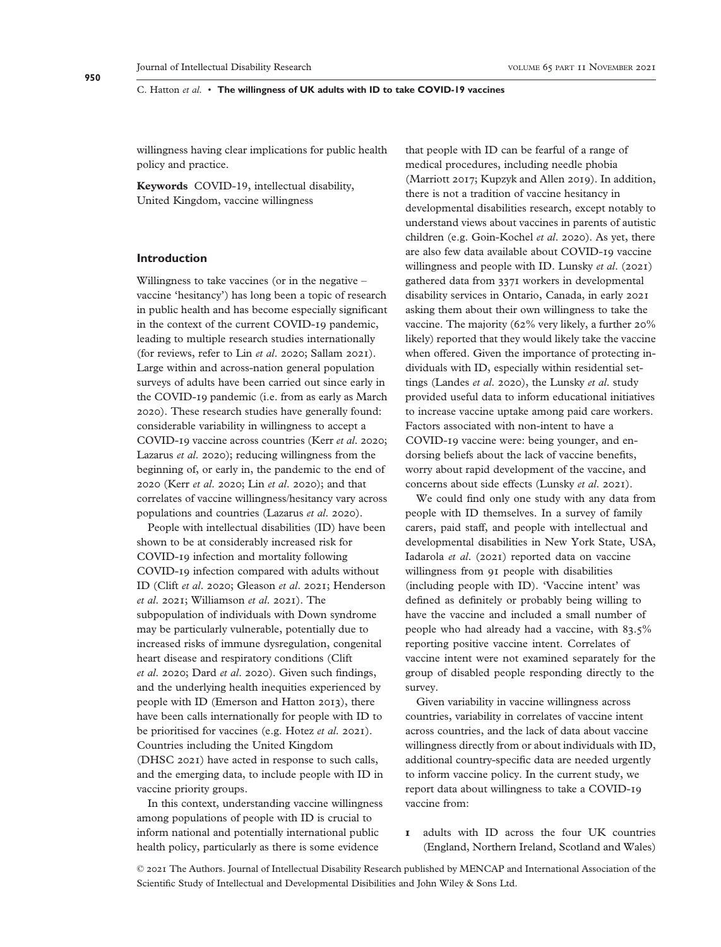willingness having clear implications for public health policy and practice.

**Keywords** COVID-19, intellectual disability, United Kingdom, vaccine willingness

# **Introduction**

Willingness to take vaccines (or in the negative – vaccine 'hesitancy') has long been a topic of research in public health and has become especially significant in the context of the current COVID-19 pandemic, leading to multiple research studies internationally (for reviews, refer to Lin *et al*. 2020; Sallam 2021). Large within and across-nation general population surveys of adults have been carried out since early in the COVID-19 pandemic (i.e. from as early as March 2020). These research studies have generally found: considerable variability in willingness to accept a COVID-19 vaccine across countries (Kerr *et al*. 2020; Lazarus *et al*. 2020); reducing willingness from the beginning of, or early in, the pandemic to the end of 2020 (Kerr *et al*. 2020; Lin *et al*. 2020); and that correlates of vaccine willingness/hesitancy vary across populations and countries (Lazarus *et al*. 2020).

People with intellectual disabilities (ID) have been shown to be at considerably increased risk for COVID-19 infection and mortality following COVID-19 infection compared with adults without ID (Clift *et al*. 2020; Gleason *et al*. 2021; Henderson *et al*. 2021; Williamson *et al*. 2021). The subpopulation of individuals with Down syndrome may be particularly vulnerable, potentially due to increased risks of immune dysregulation, congenital heart disease and respiratory conditions (Clift *et al*. 2020; Dard *et al*. 2020). Given such findings, and the underlying health inequities experienced by people with ID (Emerson and Hatton 2013), there have been calls internationally for people with ID to be prioritised for vaccines (e.g. Hotez *et al*. 2021). Countries including the United Kingdom (DHSC 2021) have acted in response to such calls, and the emerging data, to include people with ID in vaccine priority groups.

In this context, understanding vaccine willingness among populations of people with ID is crucial to inform national and potentially international public health policy, particularly as there is some evidence

that people with ID can be fearful of a range of medical procedures, including needle phobia (Marriott 2017; Kupzyk and Allen 2019). In addition, there is not a tradition of vaccine hesitancy in developmental disabilities research, except notably to understand views about vaccines in parents of autistic children (e.g. Goin-Kochel *et al*. 2020). As yet, there are also few data available about COVID-19 vaccine willingness and people with ID. Lunsky *et al*. (2021) gathered data from 3371 workers in developmental disability services in Ontario, Canada, in early 2021 asking them about their own willingness to take the vaccine. The majority (62% very likely, a further 20% likely) reported that they would likely take the vaccine when offered. Given the importance of protecting individuals with ID, especially within residential settings (Landes *et al*. 2020), the Lunsky *et al*. study provided useful data to inform educational initiatives to increase vaccine uptake among paid care workers. Factors associated with non-intent to have a COVID-19 vaccine were: being younger, and endorsing beliefs about the lack of vaccine benefits, worry about rapid development of the vaccine, and concerns about side effects (Lunsky *et al*. 2021).

We could find only one study with any data from people with ID themselves. In a survey of family carers, paid staff, and people with intellectual and developmental disabilities in New York State, USA, Iadarola *et al*. (2021) reported data on vaccine willingness from 91 people with disabilities (including people with ID). 'Vaccine intent' was defined as definitely or probably being willing to have the vaccine and included a small number of people who had already had a vaccine, with 83.5% reporting positive vaccine intent. Correlates of vaccine intent were not examined separately for the group of disabled people responding directly to the survey.

Given variability in vaccine willingness across countries, variability in correlates of vaccine intent across countries, and the lack of data about vaccine willingness directly from or about individuals with ID, additional country-specific data are needed urgently to inform vaccine policy. In the current study, we report data about willingness to take a COVID-19 vaccine from:

**1** adults with ID across the four UK countries (England, Northern Ireland, Scotland and Wales)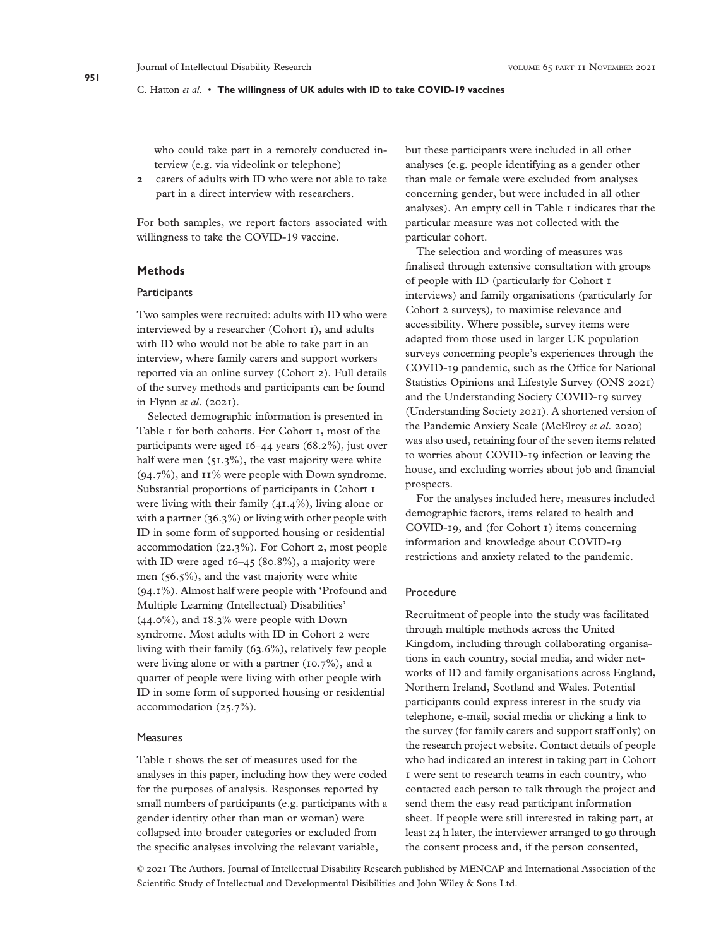who could take part in a remotely conducted interview (e.g. via videolink or telephone)

**2** carers of adults with ID who were not able to take part in a direct interview with researchers.

For both samples, we report factors associated with willingness to take the COVID-19 vaccine.

#### **Methods**

#### **Participants**

Two samples were recruited: adults with ID who were interviewed by a researcher (Cohort 1), and adults with ID who would not be able to take part in an interview, where family carers and support workers reported via an online survey (Cohort 2). Full details of the survey methods and participants can be found in Flynn *et al*. (2021).

Selected demographic information is presented in Table 1 for both cohorts. For Cohort 1, most of the participants were aged 16–44 years (68.2%), just over half were men  $(51.3\%)$ , the vast majority were white (94.7%), and 11% were people with Down syndrome. Substantial proportions of participants in Cohort 1 were living with their family (41.4%), living alone or with a partner (36.3%) or living with other people with ID in some form of supported housing or residential accommodation (22.3%). For Cohort 2, most people with ID were aged  $16-45$  (80.8%), a majority were men (56.5%), and the vast majority were white (94.1%). Almost half were people with 'Profound and Multiple Learning (Intellectual) Disabilities' (44.0%), and 18.3% were people with Down syndrome. Most adults with ID in Cohort 2 were living with their family (63.6%), relatively few people were living alone or with a partner (10.7%), and a quarter of people were living with other people with ID in some form of supported housing or residential accommodation (25.7%).

#### **Measures**

Table 1 shows the set of measures used for the analyses in this paper, including how they were coded for the purposes of analysis. Responses reported by small numbers of participants (e.g. participants with a gender identity other than man or woman) were collapsed into broader categories or excluded from the specific analyses involving the relevant variable,

but these participants were included in all other analyses (e.g. people identifying as a gender other than male or female were excluded from analyses concerning gender, but were included in all other analyses). An empty cell in Table 1 indicates that the particular measure was not collected with the particular cohort.

The selection and wording of measures was finalised through extensive consultation with groups of people with ID (particularly for Cohort 1 interviews) and family organisations (particularly for Cohort 2 surveys), to maximise relevance and accessibility. Where possible, survey items were adapted from those used in larger UK population surveys concerning people's experiences through the COVID-19 pandemic, such as the Office for National Statistics Opinions and Lifestyle Survey (ONS 2021) and the Understanding Society COVID-19 survey (Understanding Society 2021). A shortened version of the Pandemic Anxiety Scale (McElroy *et al*. 2020) was also used, retaining four of the seven items related to worries about COVID-19 infection or leaving the house, and excluding worries about job and financial prospects.

For the analyses included here, measures included demographic factors, items related to health and COVID-19, and (for Cohort 1) items concerning information and knowledge about COVID-19 restrictions and anxiety related to the pandemic.

#### Procedure

Recruitment of people into the study was facilitated through multiple methods across the United Kingdom, including through collaborating organisations in each country, social media, and wider networks of ID and family organisations across England, Northern Ireland, Scotland and Wales. Potential participants could express interest in the study via telephone, e-mail, social media or clicking a link to the survey (for family carers and support staff only) on the research project website. Contact details of people who had indicated an interest in taking part in Cohort 1 were sent to research teams in each country, who contacted each person to talk through the project and send them the easy read participant information sheet. If people were still interested in taking part, at least 24 h later, the interviewer arranged to go through the consent process and, if the person consented,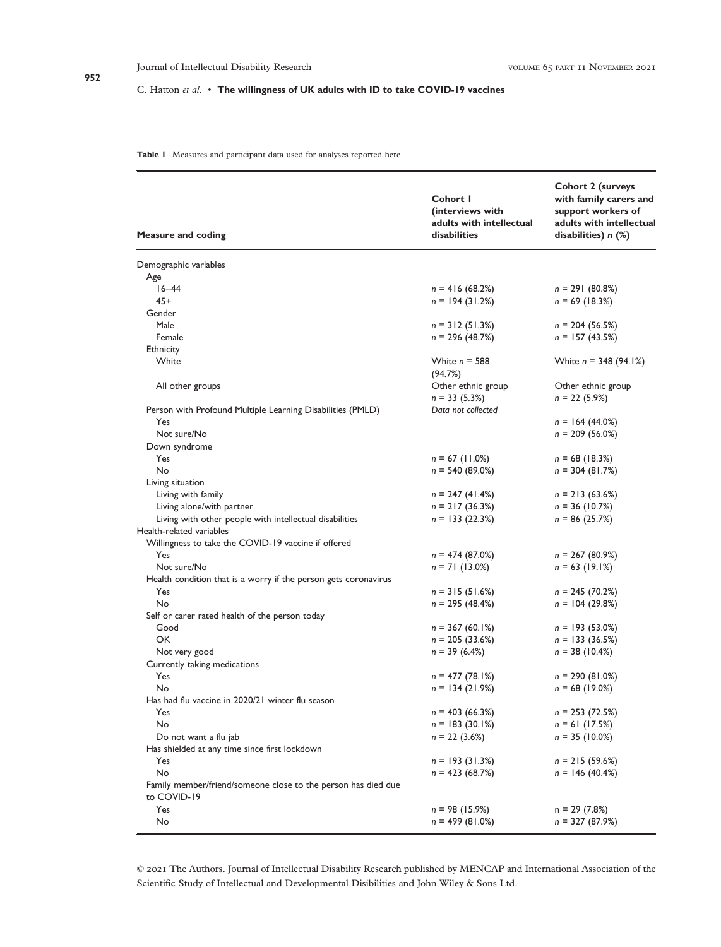#### **Table 1** Measures and participant data used for analyses reported here

| <b>Measure and coding</b>                                                    | Cohort I<br>(interviews with<br>adults with intellectual<br>disabilities | <b>Cohort 2 (surveys</b><br>with family carers and<br>support workers of<br>adults with intellectual<br>disabilities) $n$ $(\%)$ |
|------------------------------------------------------------------------------|--------------------------------------------------------------------------|----------------------------------------------------------------------------------------------------------------------------------|
| Demographic variables                                                        |                                                                          |                                                                                                                                  |
| Age                                                                          |                                                                          |                                                                                                                                  |
| $16 - 44$                                                                    | $n = 416(68.2%)$                                                         | $n = 291(80.8%)$                                                                                                                 |
| $45+$                                                                        | $n = 194(31.2%)$                                                         | $n = 69$ (18.3%)                                                                                                                 |
| Gender                                                                       |                                                                          |                                                                                                                                  |
| Male                                                                         | $n = 312(51.3%)$                                                         | $n = 204(56.5%)$                                                                                                                 |
| Female                                                                       | $n = 296 (48.7%)$                                                        | $n = 157(43.5%)$                                                                                                                 |
| Ethnicity                                                                    |                                                                          |                                                                                                                                  |
| White                                                                        | White $n = 588$<br>(94.7%)                                               | White $n = 348 (94.1%)$                                                                                                          |
| All other groups                                                             | Other ethnic group                                                       | Other ethnic group                                                                                                               |
|                                                                              | $n = 33(5.3%)$                                                           | $n = 22(5.9\%)$                                                                                                                  |
| Person with Profound Multiple Learning Disabilities (PMLD)                   | Data not collected                                                       |                                                                                                                                  |
| Yes                                                                          |                                                                          | $n = 164 (44.0\%)$                                                                                                               |
| Not sure/No                                                                  |                                                                          | $n = 209(56.0\%)$                                                                                                                |
| Down syndrome                                                                |                                                                          |                                                                                                                                  |
| Yes                                                                          | $n = 67$ (11.0%)                                                         | $n = 68$ (18.3%)                                                                                                                 |
| No                                                                           | $n = 540 (89.0\%)$                                                       | $n = 304 (81.7%)$                                                                                                                |
| Living situation                                                             |                                                                          |                                                                                                                                  |
| Living with family                                                           | $n = 247(41.4%)$                                                         | $n = 213(63.6%)$                                                                                                                 |
| Living alone/with partner                                                    | $n = 217(36.3%)$                                                         | $n = 36 (10.7%)$                                                                                                                 |
| Living with other people with intellectual disabilities                      | $n = 133(22.3%)$                                                         | $n = 86(25.7%)$                                                                                                                  |
| Health-related variables                                                     |                                                                          |                                                                                                                                  |
| Willingness to take the COVID-19 vaccine if offered                          |                                                                          |                                                                                                                                  |
| Yes                                                                          | $n = 474(87.0%)$                                                         | $n = 267(80.9%)$                                                                                                                 |
| Not sure/No                                                                  | $n = 71(13.0\%)$                                                         | $n = 63$ (19.1%)                                                                                                                 |
| Health condition that is a worry if the person gets coronavirus              |                                                                          |                                                                                                                                  |
| Yes                                                                          | $n = 315(51.6%)$                                                         | $n = 245(70.2%)$                                                                                                                 |
| No                                                                           | $n = 295 (48.4%)$                                                        | $n = 104(29.8%)$                                                                                                                 |
| Self or carer rated health of the person today                               |                                                                          |                                                                                                                                  |
| Good                                                                         | $n = 367(60.1\%)$                                                        | $n = 193(53.0\%)$                                                                                                                |
| OK                                                                           | $n = 205(33.6%)$                                                         | $n = 133(36.5%)$                                                                                                                 |
| Not very good                                                                | $n = 39(6.4%)$                                                           | $n = 38(10.4%)$                                                                                                                  |
| Currently taking medications                                                 |                                                                          |                                                                                                                                  |
| Yes                                                                          | $n = 477(78.1%)$                                                         | $n = 290(81.0%)$                                                                                                                 |
| No                                                                           | $n = 134 (21.9%)$                                                        | $n = 68$ (19.0%)                                                                                                                 |
| Has had flu vaccine in 2020/21 winter flu season                             |                                                                          |                                                                                                                                  |
| Yes                                                                          | $n = 403(66.3%)$                                                         | $n = 253(72.5%)$                                                                                                                 |
| No                                                                           | $n = 183(30.1\%)$                                                        | $n = 61$ (17.5%)                                                                                                                 |
| Do not want a flu jab                                                        | $n = 22$ (3.6%)                                                          | $n = 35 (10.0\%)$                                                                                                                |
| Has shielded at any time since first lockdown                                |                                                                          |                                                                                                                                  |
| Yes                                                                          | $n = 193(31.3%)$                                                         | $n = 215(59.6%)$                                                                                                                 |
| No                                                                           | $n = 423(68.7%)$                                                         | $n = 146 (40.4%)$                                                                                                                |
| Family member/friend/someone close to the person has died due<br>to COVID-19 |                                                                          |                                                                                                                                  |
| Yes                                                                          | $n = 98(15.9%)$                                                          | $n = 29(7.8%)$                                                                                                                   |
| No                                                                           | $n = 499 (81.0%)$                                                        | $n = 327(87.9%)$                                                                                                                 |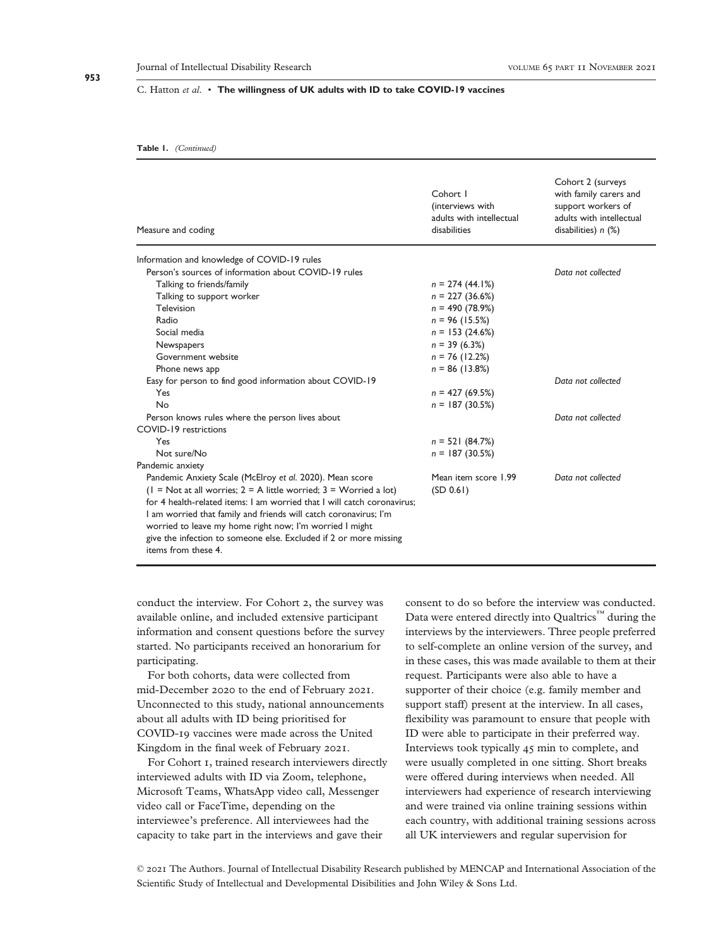#### **Table 1.** *(Continued)*

| Measure and coding                                                                                                                                                                                                                                                                                                                                                        | Cohort I<br>(interviews with<br>adults with intellectual<br>disabilities | Cohort 2 (surveys<br>with family carers and<br>support workers of<br>adults with intellectual<br>disabilities) $n$ $(\%)$ |
|---------------------------------------------------------------------------------------------------------------------------------------------------------------------------------------------------------------------------------------------------------------------------------------------------------------------------------------------------------------------------|--------------------------------------------------------------------------|---------------------------------------------------------------------------------------------------------------------------|
| Information and knowledge of COVID-19 rules                                                                                                                                                                                                                                                                                                                               |                                                                          |                                                                                                                           |
| Person's sources of information about COVID-19 rules                                                                                                                                                                                                                                                                                                                      |                                                                          | Data not collected                                                                                                        |
| Talking to friends/family                                                                                                                                                                                                                                                                                                                                                 | $n = 274(44.1%)$                                                         |                                                                                                                           |
| Talking to support worker                                                                                                                                                                                                                                                                                                                                                 | $n = 227$ (36.6%)                                                        |                                                                                                                           |
| Television                                                                                                                                                                                                                                                                                                                                                                | $n = 490 (78.9%)$                                                        |                                                                                                                           |
| Radio                                                                                                                                                                                                                                                                                                                                                                     | $n = 96$ (15.5%)                                                         |                                                                                                                           |
| Social media                                                                                                                                                                                                                                                                                                                                                              | $n = 153(24.6%)$                                                         |                                                                                                                           |
| Newspapers                                                                                                                                                                                                                                                                                                                                                                | $n = 39(6.3\%)$                                                          |                                                                                                                           |
| Government website                                                                                                                                                                                                                                                                                                                                                        | $n = 76$ (12.2%)                                                         |                                                                                                                           |
| Phone news app                                                                                                                                                                                                                                                                                                                                                            | $n = 86$ (13.8%)                                                         |                                                                                                                           |
| Easy for person to find good information about COVID-19                                                                                                                                                                                                                                                                                                                   |                                                                          | Data not collected                                                                                                        |
| Yes                                                                                                                                                                                                                                                                                                                                                                       | $n = 427(69.5%)$                                                         |                                                                                                                           |
| <b>No</b>                                                                                                                                                                                                                                                                                                                                                                 | $n = 187(30.5%)$                                                         |                                                                                                                           |
| Person knows rules where the person lives about                                                                                                                                                                                                                                                                                                                           |                                                                          | Data not collected                                                                                                        |
| COVID-19 restrictions                                                                                                                                                                                                                                                                                                                                                     |                                                                          |                                                                                                                           |
| Yes                                                                                                                                                                                                                                                                                                                                                                       | $n = 521(84.7%)$                                                         |                                                                                                                           |
| Not sure/No                                                                                                                                                                                                                                                                                                                                                               | $n = 187(30.5%)$                                                         |                                                                                                                           |
| Pandemic anxiety                                                                                                                                                                                                                                                                                                                                                          |                                                                          |                                                                                                                           |
| Pandemic Anxiety Scale (McElroy et al. 2020). Mean score                                                                                                                                                                                                                                                                                                                  | Mean item score 1.99                                                     | Data not collected                                                                                                        |
| $(1 = Not at all worries; 2 = A little worried; 3 = Worried a lot)$<br>for 4 health-related items: I am worried that I will catch coronavirus:<br>I am worried that family and friends will catch coronavirus; I'm<br>worried to leave my home right now; I'm worried I might<br>give the infection to someone else. Excluded if 2 or more missing<br>items from these 4. | (SD 0.61)                                                                |                                                                                                                           |

conduct the interview. For Cohort 2, the survey was available online, and included extensive participant information and consent questions before the survey started. No participants received an honorarium for participating.

For both cohorts, data were collected from mid-December 2020 to the end of February 2021. Unconnected to this study, national announcements about all adults with ID being prioritised for COVID-19 vaccines were made across the United Kingdom in the final week of February 2021.

For Cohort 1, trained research interviewers directly interviewed adults with ID via Zoom, telephone, Microsoft Teams, WhatsApp video call, Messenger video call or FaceTime, depending on the interviewee's preference. All interviewees had the capacity to take part in the interviews and gave their

consent to do so before the interview was conducted. Data were entered directly into Qualtrics<sup>™</sup> during the interviews by the interviewers. Three people preferred to self-complete an online version of the survey, and in these cases, this was made available to them at their request. Participants were also able to have a supporter of their choice (e.g. family member and support staff) present at the interview. In all cases, flexibility was paramount to ensure that people with ID were able to participate in their preferred way. Interviews took typically 45 min to complete, and were usually completed in one sitting. Short breaks were offered during interviews when needed. All interviewers had experience of research interviewing and were trained via online training sessions within each country, with additional training sessions across all UK interviewers and regular supervision for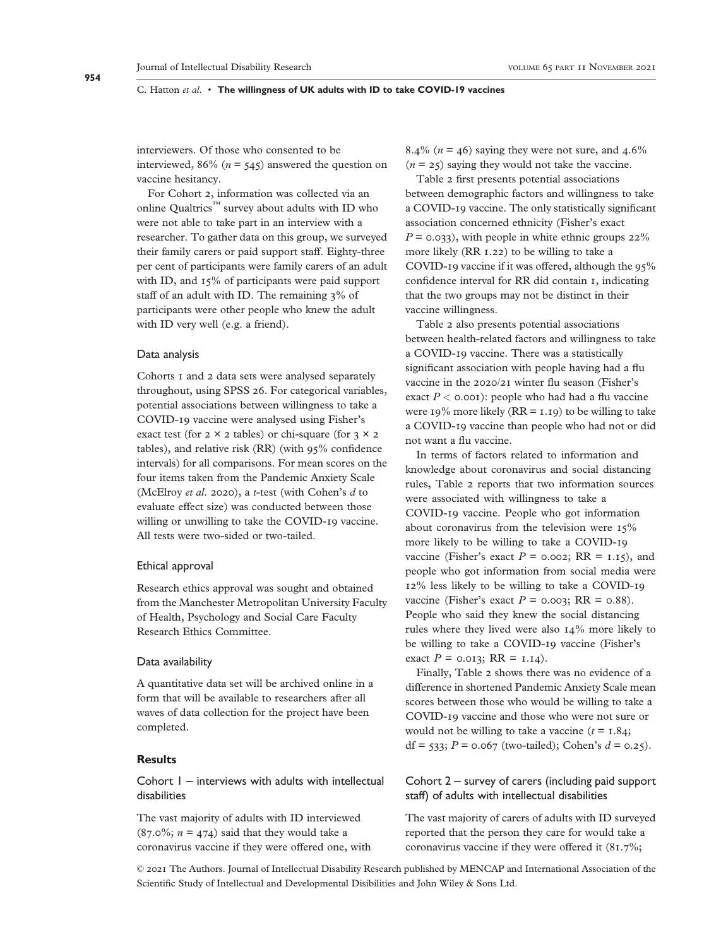interviewers. Of those who consented to be interviewed,  $86\%$  ( $n = 545$ ) answered the question on vaccine hesitancy.

For Cohort 2, information was collected via an online Qualtrics™ survey about adults with ID who were not able to take part in an interview with a researcher. To gather data on this group, we surveyed their family carers or paid support staff. Eighty-three per cent of participants were family carers of an adult with ID, and 15% of participants were paid support staff of an adult with ID. The remaining 3% of participants were other people who knew the adult with ID very well (e.g. a friend).

#### Data analysis

Cohorts 1 and 2 data sets were analysed separately throughout, using SPSS 26. For categorical variables, potential associations between willingness to take a COVID-19 vaccine were analysed using Fisher's exact test (for  $2 \times 2$  tables) or chi-square (for  $3 \times 2$ tables), and relative risk (RR) (with 95% confidence intervals) for all comparisons. For mean scores on the four items taken from the Pandemic Anxiety Scale (McElroy *et al*. 2020), a *t*-test (with Cohen's *d* to evaluate effect size) was conducted between those willing or unwilling to take the COVID-19 vaccine. All tests were two-sided or two-tailed.

#### Ethical approval

Research ethics approval was sought and obtained from the Manchester Metropolitan University Faculty of Health, Psychology and Social Care Faculty Research Ethics Committee.

#### Data availability

A quantitative data set will be archived online in a form that will be available to researchers after all waves of data collection for the project have been completed.

# **Results**

Cohort 1 – interviews with adults with intellectual disabilities

The vast majority of adults with ID interviewed  $(87.0\%; n = 474)$  said that they would take a coronavirus vaccine if they were offered one, with 8.4% ( $n = 46$ ) saying they were not sure, and  $4.6\%$  $(n = 25)$  saying they would not take the vaccine.

Table 2 first presents potential associations between demographic factors and willingness to take a COVID-19 vaccine. The only statistically significant association concerned ethnicity (Fisher's exact  $P = 0.033$ , with people in white ethnic groups  $22\%$ more likely (RR 1.22) to be willing to take a COVID-19 vaccine if it was offered, although the 95% confidence interval for RR did contain 1, indicating that the two groups may not be distinct in their vaccine willingness.

Table 2 also presents potential associations between health-related factors and willingness to take a COVID-19 vaccine. There was a statistically significant association with people having had a flu vaccine in the 2020/21 winter flu season (Fisher's exact  $P < 0.001$ : people who had had a flu vaccine were 19% more likely ( $RR = 1.19$ ) to be willing to take a COVID-19 vaccine than people who had not or did not want a flu vaccine.

In terms of factors related to information and knowledge about coronavirus and social distancing rules, Table 2 reports that two information sources were associated with willingness to take a COVID-19 vaccine. People who got information about coronavirus from the television were 15% more likely to be willing to take a COVID-19 vaccine (Fisher's exact  $P = 0.002$ ; RR = 1.15), and people who got information from social media were 12% less likely to be willing to take a COVID-19 vaccine (Fisher's exact  $P = 0.003$ ; RR = 0.88). People who said they knew the social distancing rules where they lived were also 14% more likely to be willing to take a COVID-19 vaccine (Fisher's exact  $P = 0.013$ ; RR = 1.14).

Finally, Table 2 shows there was no evidence of a difference in shortened Pandemic Anxiety Scale mean scores between those who would be willing to take a COVID-19 vaccine and those who were not sure or would not be willing to take a vaccine  $(t = 1.84)$ ; df =  $533$ ; *P* = 0.067 (two-tailed); Cohen's  $d = 0.25$ ).

# Cohort 2 – survey of carers (including paid support staff) of adults with intellectual disabilities

The vast majority of carers of adults with ID surveyed reported that the person they care for would take a coronavirus vaccine if they were offered it (81.7%;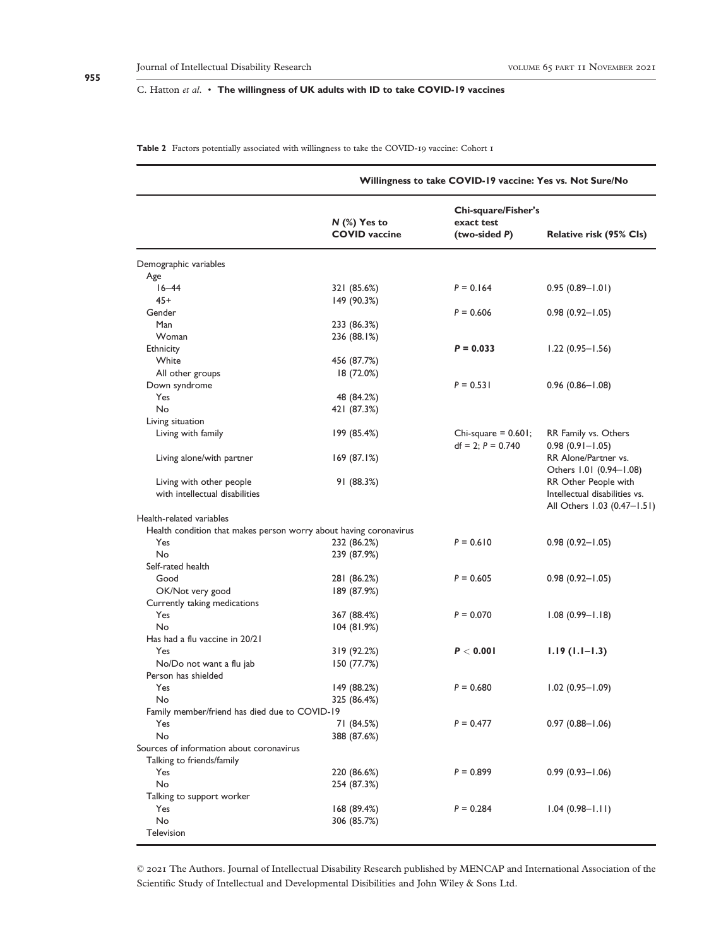**Table 2** Factors potentially associated with willingness to take the COVID-19 vaccine: Cohort 1

|                                                                   | Willingness to take COVID-19 vaccine: Yes vs. Not Sure/No |                                                    |                                                       |
|-------------------------------------------------------------------|-----------------------------------------------------------|----------------------------------------------------|-------------------------------------------------------|
|                                                                   | $N$ (%) Yes to<br><b>COVID</b> vaccine                    | Chi-square/Fisher's<br>exact test<br>(two-sided P) | Relative risk (95% CIs)                               |
| Demographic variables                                             |                                                           |                                                    |                                                       |
| Age                                                               |                                                           |                                                    |                                                       |
| $16 - 44$                                                         | 321 (85.6%)                                               | $P = 0.164$                                        | $0.95(0.89 - 1.01)$                                   |
| $45+$                                                             | 149 (90.3%)                                               |                                                    |                                                       |
| Gender                                                            |                                                           | $P = 0.606$                                        | $0.98(0.92 - 1.05)$                                   |
| Man                                                               | 233 (86.3%)                                               |                                                    |                                                       |
| Woman                                                             | 236 (88.1%)                                               |                                                    |                                                       |
| Ethnicity                                                         |                                                           | $P = 0.033$                                        | $1.22(0.95 - 1.56)$                                   |
| White                                                             | 456 (87.7%)                                               |                                                    |                                                       |
| All other groups                                                  | 18 (72.0%)                                                |                                                    |                                                       |
| Down syndrome                                                     |                                                           | $P = 0.531$                                        | $0.96(0.86 - 1.08)$                                   |
| Yes                                                               | 48 (84.2%)                                                |                                                    |                                                       |
| No                                                                | 421 (87.3%)                                               |                                                    |                                                       |
| Living situation                                                  |                                                           |                                                    |                                                       |
| Living with family                                                | 199 (85.4%)                                               | Chi-square $= 0.601$ ;<br>$df = 2$ ; $P = 0.740$   | RR Family vs. Others<br>$0.98(0.91 - 1.05)$           |
| Living alone/with partner                                         | 169(87.1%)                                                |                                                    | RR Alone/Partner vs.<br>Others 1.01 (0.94-1.08)       |
| Living with other people<br>with intellectual disabilities        | 91 (88.3%)                                                |                                                    | RR Other People with<br>Intellectual disabilities vs. |
| Health-related variables                                          |                                                           |                                                    | All Others 1.03 (0.47–1.51)                           |
| Health condition that makes person worry about having coronavirus |                                                           |                                                    |                                                       |
| Yes                                                               | 232 (86.2%)                                               | $P = 0.610$                                        | $0.98(0.92 - 1.05)$                                   |
| No                                                                | 239 (87.9%)                                               |                                                    |                                                       |
| Self-rated health                                                 |                                                           |                                                    |                                                       |
| Good                                                              | 281 (86.2%)                                               | $P = 0.605$                                        | $0.98(0.92 - 1.05)$                                   |
| OK/Not very good                                                  | 189 (87.9%)                                               |                                                    |                                                       |
| Currently taking medications                                      |                                                           |                                                    |                                                       |
| Yes                                                               | 367 (88.4%)                                               | $P = 0.070$                                        | $1.08(0.99 - 1.18)$                                   |
| No                                                                | 104(81.9%)                                                |                                                    |                                                       |
| Has had a flu vaccine in 20/21                                    |                                                           |                                                    |                                                       |
| Yes                                                               | 319 (92.2%)                                               | P < 0.001                                          | $1.19(1.1-1.3)$                                       |
| No/Do not want a flu jab                                          | 150 (77.7%)                                               |                                                    |                                                       |
| Person has shielded                                               |                                                           |                                                    |                                                       |
| Yes                                                               | 149 (88.2%)                                               | $P = 0.680$                                        | $1.02(0.95 - 1.09)$                                   |
| No                                                                | 325 (86.4%)                                               |                                                    |                                                       |
| Family member/friend has died due to COVID-19                     |                                                           |                                                    |                                                       |
| Yes                                                               | 71 (84.5%)                                                | $P = 0.477$                                        | $0.97(0.88 - 1.06)$                                   |
| No                                                                | 388 (87.6%)                                               |                                                    |                                                       |
| Sources of information about coronavirus                          |                                                           |                                                    |                                                       |
| Talking to friends/family                                         |                                                           |                                                    |                                                       |
| Yes                                                               | 220 (86.6%)                                               | $P = 0.899$                                        | $0.99(0.93 - 1.06)$                                   |
| No                                                                | 254 (87.3%)                                               |                                                    |                                                       |
| Talking to support worker                                         |                                                           |                                                    |                                                       |
| Yes                                                               | 168(89.4%)                                                | $P = 0.284$                                        | $1.04(0.98 - 1.11)$                                   |
| No                                                                | 306 (85.7%)                                               |                                                    |                                                       |
| Television                                                        |                                                           |                                                    |                                                       |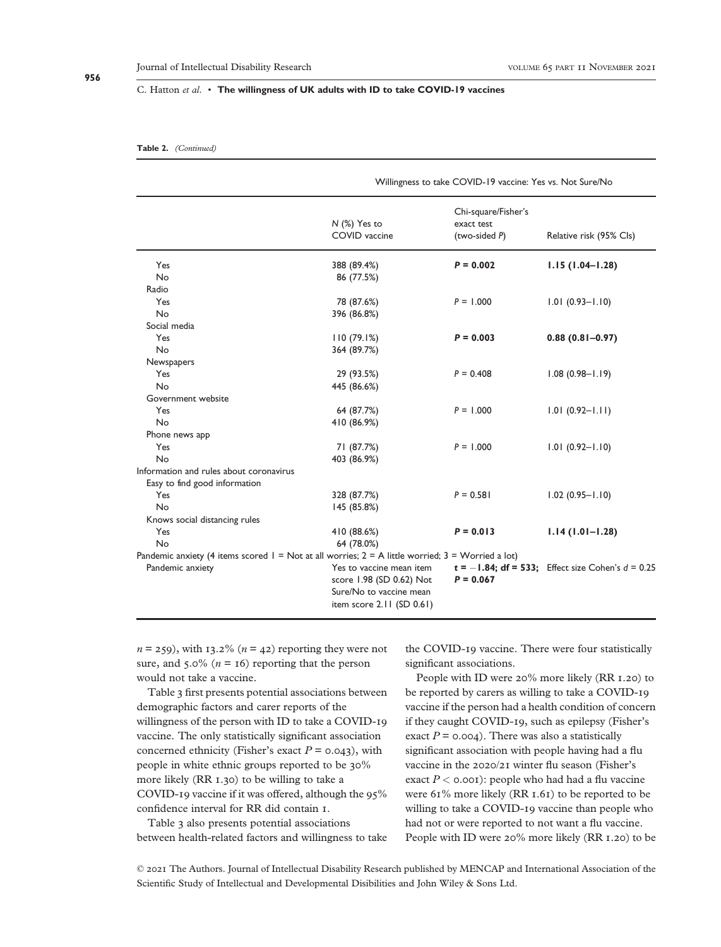#### **Table 2.** *(Continued)*

|                                                                                                          | Willingness to take COVID-19 vaccine: Yes vs. Not Sure/No                       |                                                    |                                                        |
|----------------------------------------------------------------------------------------------------------|---------------------------------------------------------------------------------|----------------------------------------------------|--------------------------------------------------------|
|                                                                                                          | $N$ (%) Yes to<br>COVID vaccine                                                 | Chi-square/Fisher's<br>exact test<br>(two-sided P) | Relative risk (95% Cls)                                |
| Yes                                                                                                      | 388 (89.4%)                                                                     | $P = 0.002$                                        | $1.15(1.04 - 1.28)$                                    |
| <b>No</b>                                                                                                | 86 (77.5%)                                                                      |                                                    |                                                        |
| Radio                                                                                                    |                                                                                 |                                                    |                                                        |
| Yes                                                                                                      | 78 (87.6%)                                                                      | $P = 1.000$                                        | $1.01(0.93 - 1.10)$                                    |
| <b>No</b>                                                                                                | 396 (86.8%)                                                                     |                                                    |                                                        |
| Social media                                                                                             |                                                                                 |                                                    |                                                        |
| Yes                                                                                                      | 110(79.1%)                                                                      | $P = 0.003$                                        | $0.88(0.81 - 0.97)$                                    |
| <b>No</b>                                                                                                | 364 (89.7%)                                                                     |                                                    |                                                        |
| Newspapers                                                                                               |                                                                                 |                                                    |                                                        |
| Yes                                                                                                      | 29 (93.5%)                                                                      | $P = 0.408$                                        | $1.08(0.98 - 1.19)$                                    |
| <b>No</b>                                                                                                | 445 (86.6%)                                                                     |                                                    |                                                        |
| Government website                                                                                       |                                                                                 |                                                    |                                                        |
| Yes                                                                                                      | 64 (87.7%)                                                                      | $P = 1.000$                                        | $1.01(0.92 - 1.11)$                                    |
| <b>No</b>                                                                                                | 410 (86.9%)                                                                     |                                                    |                                                        |
| Phone news app                                                                                           |                                                                                 |                                                    |                                                        |
| Yes                                                                                                      | 71 (87.7%)                                                                      | $P = 1.000$                                        | $1.01(0.92 - 1.10)$                                    |
| No                                                                                                       | 403 (86.9%)                                                                     |                                                    |                                                        |
| Information and rules about coronavirus                                                                  |                                                                                 |                                                    |                                                        |
| Easy to find good information                                                                            |                                                                                 |                                                    |                                                        |
| Yes                                                                                                      | 328 (87.7%)                                                                     | $P = 0.581$                                        | $1.02(0.95 - 1.10)$                                    |
| No                                                                                                       | 145 (85.8%)                                                                     |                                                    |                                                        |
| Knows social distancing rules                                                                            |                                                                                 |                                                    |                                                        |
| Yes                                                                                                      | 410 (88.6%)                                                                     | $P = 0.013$                                        | $1.14(1.01 - 1.28)$                                    |
| No                                                                                                       | 64 (78.0%)                                                                      |                                                    |                                                        |
| Pandemic anxiety (4 items scored $I = Not$ at all worries; $2 = A$ little worried; $3 = W$ orried a lot) |                                                                                 |                                                    |                                                        |
| Pandemic anxiety                                                                                         | Yes to vaccine mean item<br>score 1.98 (SD 0.62) Not<br>Sure/No to vaccine mean | $P = 0.067$                                        | $t = -1.84$ ; df = 533; Effect size Cohen's $d = 0.25$ |
|                                                                                                          | item score $2.11$ (SD $0.61$ )                                                  |                                                    |                                                        |

 $n = 259$ , with 13.2% ( $n = 42$ ) reporting they were not sure, and  $5.0\%$  ( $n = 16$ ) reporting that the person would not take a vaccine.

Table 3 first presents potential associations between demographic factors and carer reports of the willingness of the person with ID to take a COVID-19 vaccine. The only statistically significant association concerned ethnicity (Fisher's exact  $P = 0.043$ ), with people in white ethnic groups reported to be 30% more likely (RR 1.30) to be willing to take a COVID-19 vaccine if it was offered, although the 95% confidence interval for RR did contain 1.

Table 3 also presents potential associations between health-related factors and willingness to take the COVID-19 vaccine. There were four statistically significant associations.

People with ID were 20% more likely (RR 1.20) to be reported by carers as willing to take a COVID-19 vaccine if the person had a health condition of concern if they caught COVID-19, such as epilepsy (Fisher's exact  $P = 0.004$ ). There was also a statistically significant association with people having had a flu vaccine in the 2020/21 winter flu season (Fisher's exact  $P < 0.001$ : people who had had a flu vaccine were 61% more likely (RR 1.61) to be reported to be willing to take a COVID-19 vaccine than people who had not or were reported to not want a flu vaccine. People with ID were 20% more likely (RR 1.20) to be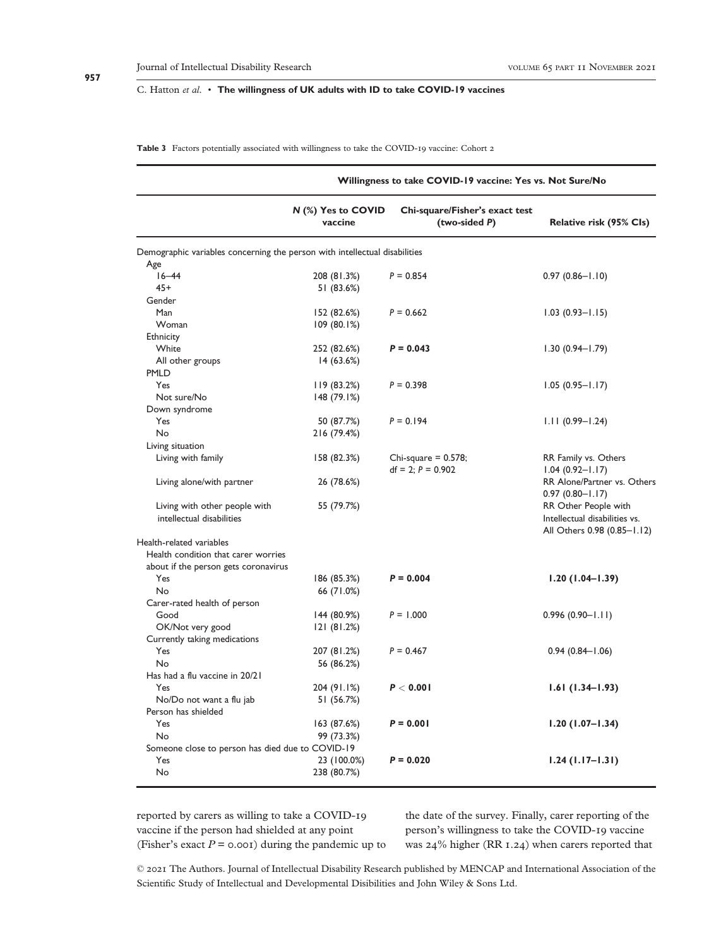**Table 3** Factors potentially associated with willingness to take the COVID-19 vaccine: Cohort 2

|                                                                            | Willingness to take COVID-19 vaccine: Yes vs. Not Sure/No |                                                  |                                                                                      |
|----------------------------------------------------------------------------|-----------------------------------------------------------|--------------------------------------------------|--------------------------------------------------------------------------------------|
|                                                                            | $N$ (%) Yes to COVID<br>vaccine                           | Chi-square/Fisher's exact test<br>(two-sided P)  | Relative risk (95% Cls)                                                              |
| Demographic variables concerning the person with intellectual disabilities |                                                           |                                                  |                                                                                      |
| Age                                                                        |                                                           |                                                  |                                                                                      |
| $16 - 44$                                                                  | 208 (81.3%)                                               | $P = 0.854$                                      | $0.97(0.86 - 1.10)$                                                                  |
| $45+$                                                                      | 51 (83.6%)                                                |                                                  |                                                                                      |
| Gender                                                                     |                                                           |                                                  |                                                                                      |
| Man                                                                        | 152 (82.6%)                                               | $P = 0.662$                                      | $1.03(0.93 - 1.15)$                                                                  |
| Woman                                                                      | 109(80.1%)                                                |                                                  |                                                                                      |
| Ethnicity                                                                  |                                                           |                                                  |                                                                                      |
| White                                                                      | 252 (82.6%)                                               | $P = 0.043$                                      | $1.30(0.94 - 1.79)$                                                                  |
| All other groups                                                           | 14(63.6%)                                                 |                                                  |                                                                                      |
| <b>PMLD</b>                                                                |                                                           |                                                  |                                                                                      |
| Yes                                                                        | 119(83.2%)                                                | $P = 0.398$                                      | $1.05(0.95 - 1.17)$                                                                  |
| Not sure/No                                                                | 148(79.1%)                                                |                                                  |                                                                                      |
| Down syndrome                                                              |                                                           |                                                  |                                                                                      |
| Yes                                                                        | 50 (87.7%)                                                | $P = 0.194$                                      | $1.11(0.99 - 1.24)$                                                                  |
| No                                                                         | 216 (79.4%)                                               |                                                  |                                                                                      |
| Living situation                                                           |                                                           |                                                  |                                                                                      |
| Living with family                                                         | 158 (82.3%)                                               | Chi-square $= 0.578$ ;<br>$df = 2$ ; $P = 0.902$ | RR Family vs. Others<br>$1.04(0.92 - 1.17)$                                          |
| Living alone/with partner                                                  | 26 (78.6%)                                                |                                                  | RR Alone/Partner vs. Others<br>$0.97(0.80 - 1.17)$                                   |
| Living with other people with<br>intellectual disabilities                 | 55 (79.7%)                                                |                                                  | RR Other People with<br>Intellectual disabilities vs.<br>All Others 0.98 (0.85-1.12) |
| Health-related variables                                                   |                                                           |                                                  |                                                                                      |
| Health condition that carer worries                                        |                                                           |                                                  |                                                                                      |
| about if the person gets coronavirus                                       |                                                           |                                                  |                                                                                      |
| Yes                                                                        | 186 (85.3%)                                               | $P = 0.004$                                      | $1.20(1.04-1.39)$                                                                    |
| No                                                                         | 66 (71.0%)                                                |                                                  |                                                                                      |
| Carer-rated health of person                                               |                                                           |                                                  |                                                                                      |
| Good                                                                       | 144 (80.9%)                                               | $P = 1.000$                                      | $0.996(0.90 - 1.11)$                                                                 |
| OK/Not very good                                                           | 121(81.2%)                                                |                                                  |                                                                                      |
| Currently taking medications                                               |                                                           |                                                  |                                                                                      |
| Yes                                                                        | 207 (81.2%)                                               | $P = 0.467$                                      | $0.94(0.84 - 1.06)$                                                                  |
| No                                                                         | 56 (86.2%)                                                |                                                  |                                                                                      |
| Has had a flu vaccine in 20/21                                             |                                                           |                                                  |                                                                                      |
| Yes                                                                        | 204 (91.1%)                                               | P < 0.001                                        | $1.61(1.34-1.93)$                                                                    |
| No/Do not want a flu jab                                                   | 51 (56.7%)                                                |                                                  |                                                                                      |
| Person has shielded                                                        |                                                           |                                                  |                                                                                      |
| Yes                                                                        | 163 (87.6%)                                               | $P = 0.001$                                      | $1.20(1.07 - 1.34)$                                                                  |
| No                                                                         | 99 (73.3%)                                                |                                                  |                                                                                      |
| Someone close to person has died due to COVID-19                           |                                                           |                                                  |                                                                                      |
| Yes                                                                        | 23 (100.0%)                                               | $P = 0.020$                                      |                                                                                      |
| No                                                                         | 238 (80.7%)                                               |                                                  | $1.24$ (1.17–1.31)                                                                   |
|                                                                            |                                                           |                                                  |                                                                                      |

reported by carers as willing to take a COVID-19 vaccine if the person had shielded at any point (Fisher's exact  $P = 0.001$ ) during the pandemic up to

the date of the survey. Finally, carer reporting of the person's willingness to take the COVID-19 vaccine was 24% higher (RR 1.24) when carers reported that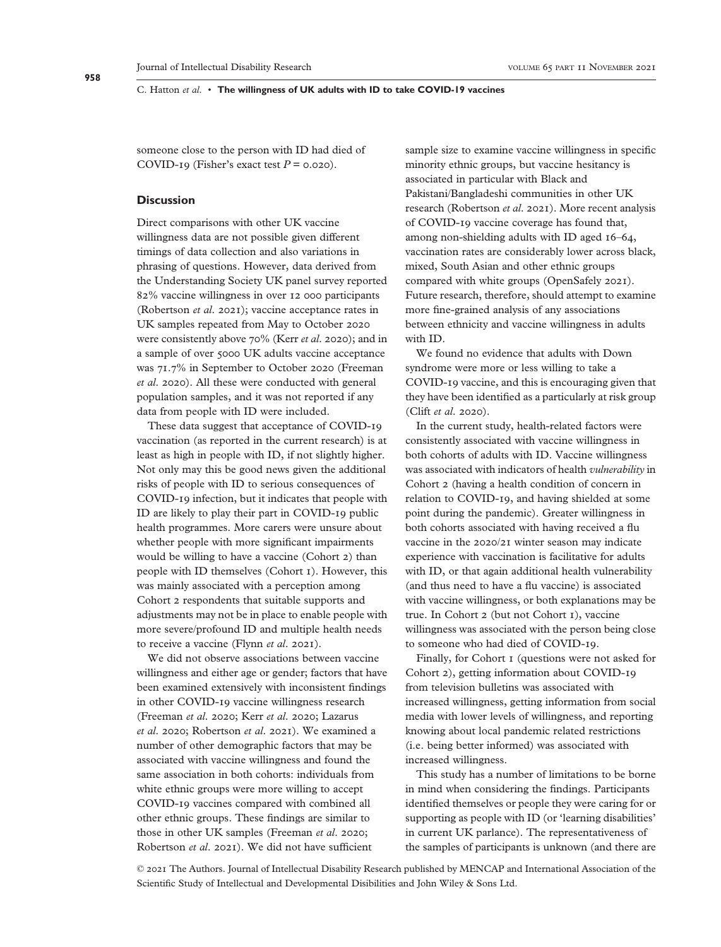someone close to the person with ID had died of COVID-19 (Fisher's exact test  $P = 0.020$ ).

## **Discussion**

Direct comparisons with other UK vaccine willingness data are not possible given different timings of data collection and also variations in phrasing of questions. However, data derived from the Understanding Society UK panel survey reported 82% vaccine willingness in over 12 000 participants (Robertson *et al*. 2021); vaccine acceptance rates in UK samples repeated from May to October 2020 were consistently above 70% (Kerr *et al*. 2020); and in a sample of over 5000 UK adults vaccine acceptance was 71.7% in September to October 2020 (Freeman *et al*. 2020). All these were conducted with general population samples, and it was not reported if any data from people with ID were included.

These data suggest that acceptance of COVID-19 vaccination (as reported in the current research) is at least as high in people with ID, if not slightly higher. Not only may this be good news given the additional risks of people with ID to serious consequences of COVID-19 infection, but it indicates that people with ID are likely to play their part in COVID-19 public health programmes. More carers were unsure about whether people with more significant impairments would be willing to have a vaccine (Cohort 2) than people with ID themselves (Cohort 1). However, this was mainly associated with a perception among Cohort 2 respondents that suitable supports and adjustments may not be in place to enable people with more severe/profound ID and multiple health needs to receive a vaccine (Flynn *et al*. 2021).

We did not observe associations between vaccine willingness and either age or gender; factors that have been examined extensively with inconsistent findings in other COVID-19 vaccine willingness research (Freeman *et al*. 2020; Kerr *et al*. 2020; Lazarus *et al*. 2020; Robertson *et al*. 2021). We examined a number of other demographic factors that may be associated with vaccine willingness and found the same association in both cohorts: individuals from white ethnic groups were more willing to accept COVID-19 vaccines compared with combined all other ethnic groups. These findings are similar to those in other UK samples (Freeman *et al*. 2020; Robertson *et al*. 2021). We did not have sufficient

sample size to examine vaccine willingness in specific minority ethnic groups, but vaccine hesitancy is associated in particular with Black and Pakistani/Bangladeshi communities in other UK research (Robertson *et al*. 2021). More recent analysis of COVID-19 vaccine coverage has found that, among non-shielding adults with ID aged 16–64, vaccination rates are considerably lower across black, mixed, South Asian and other ethnic groups compared with white groups (OpenSafely 2021). Future research, therefore, should attempt to examine more fine-grained analysis of any associations between ethnicity and vaccine willingness in adults with ID.

We found no evidence that adults with Down syndrome were more or less willing to take a COVID-19 vaccine, and this is encouraging given that they have been identified as a particularly at risk group (Clift *et al*. 2020).

In the current study, health-related factors were consistently associated with vaccine willingness in both cohorts of adults with ID. Vaccine willingness was associated with indicators of health *vulnerability* in Cohort 2 (having a health condition of concern in relation to COVID-19, and having shielded at some point during the pandemic). Greater willingness in both cohorts associated with having received a flu vaccine in the 2020/21 winter season may indicate experience with vaccination is facilitative for adults with ID, or that again additional health vulnerability (and thus need to have a flu vaccine) is associated with vaccine willingness, or both explanations may be true. In Cohort 2 (but not Cohort 1), vaccine willingness was associated with the person being close to someone who had died of COVID-19.

Finally, for Cohort 1 (questions were not asked for Cohort 2), getting information about COVID-19 from television bulletins was associated with increased willingness, getting information from social media with lower levels of willingness, and reporting knowing about local pandemic related restrictions (i.e. being better informed) was associated with increased willingness.

This study has a number of limitations to be borne in mind when considering the findings. Participants identified themselves or people they were caring for or supporting as people with ID (or 'learning disabilities' in current UK parlance). The representativeness of the samples of participants is unknown (and there are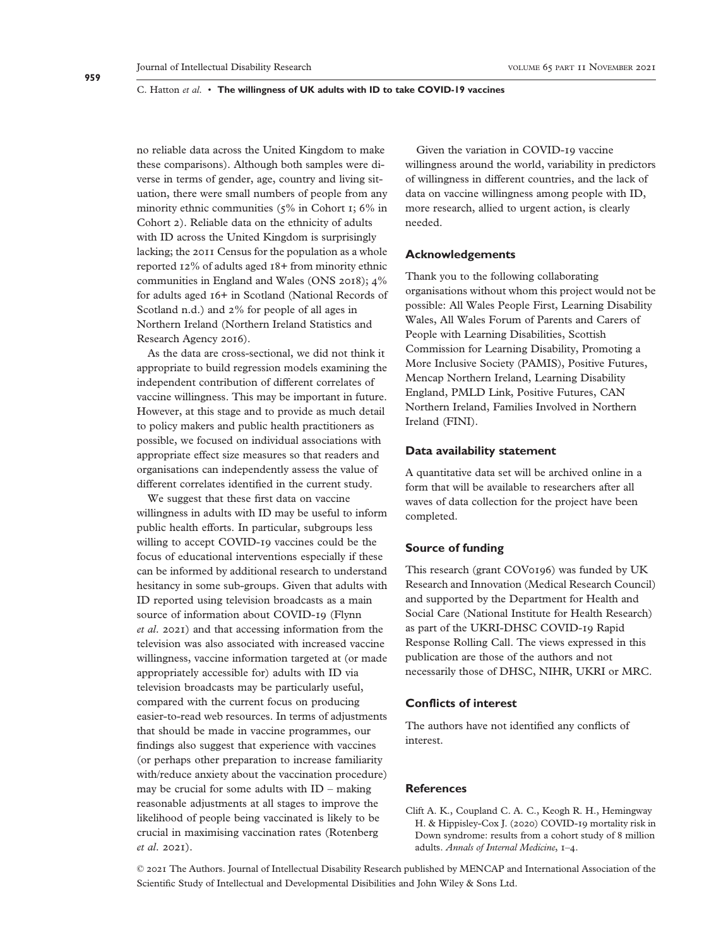no reliable data across the United Kingdom to make these comparisons). Although both samples were diverse in terms of gender, age, country and living situation, there were small numbers of people from any minority ethnic communities (5% in Cohort 1; 6% in Cohort 2). Reliable data on the ethnicity of adults with ID across the United Kingdom is surprisingly lacking; the 2011 Census for the population as a whole reported 12% of adults aged 18+ from minority ethnic communities in England and Wales (ONS 2018); 4% for adults aged 16+ in Scotland (National Records of Scotland n.d.) and 2% for people of all ages in Northern Ireland (Northern Ireland Statistics and Research Agency 2016).

As the data are cross-sectional, we did not think it appropriate to build regression models examining the independent contribution of different correlates of vaccine willingness. This may be important in future. However, at this stage and to provide as much detail to policy makers and public health practitioners as possible, we focused on individual associations with appropriate effect size measures so that readers and organisations can independently assess the value of different correlates identified in the current study.

We suggest that these first data on vaccine willingness in adults with ID may be useful to inform public health efforts. In particular, subgroups less willing to accept COVID-19 vaccines could be the focus of educational interventions especially if these can be informed by additional research to understand hesitancy in some sub-groups. Given that adults with ID reported using television broadcasts as a main source of information about COVID-19 (Flynn *et al*. 2021) and that accessing information from the television was also associated with increased vaccine willingness, vaccine information targeted at (or made appropriately accessible for) adults with ID via television broadcasts may be particularly useful, compared with the current focus on producing easier-to-read web resources. In terms of adjustments that should be made in vaccine programmes, our findings also suggest that experience with vaccines (or perhaps other preparation to increase familiarity with/reduce anxiety about the vaccination procedure) may be crucial for some adults with ID – making reasonable adjustments at all stages to improve the likelihood of people being vaccinated is likely to be crucial in maximising vaccination rates (Rotenberg *et al*. 2021).

Given the variation in COVID-19 vaccine willingness around the world, variability in predictors of willingness in different countries, and the lack of data on vaccine willingness among people with ID, more research, allied to urgent action, is clearly needed.

# **Acknowledgements**

Thank you to the following collaborating organisations without whom this project would not be possible: All Wales People First, Learning Disability Wales, All Wales Forum of Parents and Carers of People with Learning Disabilities, Scottish Commission for Learning Disability, Promoting a More Inclusive Society (PAMIS), Positive Futures, Mencap Northern Ireland, Learning Disability England, PMLD Link, Positive Futures, CAN Northern Ireland, Families Involved in Northern Ireland (FINI).

# **Data availability statement**

A quantitative data set will be archived online in a form that will be available to researchers after all waves of data collection for the project have been completed.

#### **Source of funding**

This research (grant COV0196) was funded by UK Research and Innovation (Medical Research Council) and supported by the Department for Health and Social Care (National Institute for Health Research) as part of the UKRI-DHSC COVID-19 Rapid Response Rolling Call. The views expressed in this publication are those of the authors and not necessarily those of DHSC, NIHR, UKRI or MRC.

# **Conflicts of interest**

The authors have not identified any conflicts of interest.

# **References**

Clift A. K., Coupland C. A. C., Keogh R. H., Hemingway H. & Hippisley-Cox J. (2020) COVID-19 mortality risk in Down syndrome: results from a cohort study of 8 million adults. *Annals of Internal Medicine*, 1–4.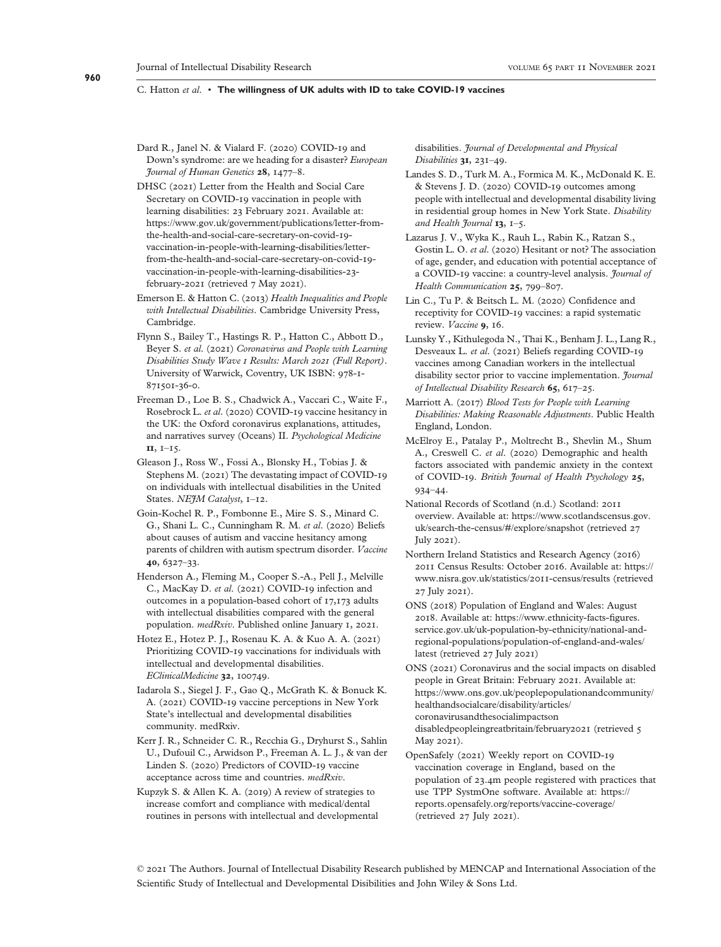#### **960**

# C. Hatton *et al*. • **The willingness of UK adults with ID to take COVID-19 vaccines**

- Dard R., Janel N. & Vialard F. (2020) COVID-19 and Down's syndrome: are we heading for a disaster? *European Journal of Human Genetics* **28**, 1477–8.
- DHSC (2021) Letter from the Health and Social Care Secretary on COVID-19 vaccination in people with learning disabilities: 23 February 2021. Available at: [https://www.gov.uk/government/publications/letter-from](https://www.gov.uk/government/publications/letter-from-the-health-and-social-care-secretary-on-covid-19-vaccination-in-people-with-learning-disabilities/letter-from-the-health-and-social-care-secretary-on-covid-19-vaccination-in-people-with-learning-disabilities-23-february-2021)[the-health-and-social-care-secretary-on-covid-](https://www.gov.uk/government/publications/letter-from-the-health-and-social-care-secretary-on-covid-19-vaccination-in-people-with-learning-disabilities/letter-from-the-health-and-social-care-secretary-on-covid-19-vaccination-in-people-with-learning-disabilities-23-february-2021)19 [vaccination-in-people-with-learning-disabilities/letter](https://www.gov.uk/government/publications/letter-from-the-health-and-social-care-secretary-on-covid-19-vaccination-in-people-with-learning-disabilities/letter-from-the-health-and-social-care-secretary-on-covid-19-vaccination-in-people-with-learning-disabilities-23-february-2021)[from-the-health-and-social-care-secretary-on-covid-](https://www.gov.uk/government/publications/letter-from-the-health-and-social-care-secretary-on-covid-19-vaccination-in-people-with-learning-disabilities/letter-from-the-health-and-social-care-secretary-on-covid-19-vaccination-in-people-with-learning-disabilities-23-february-2021)19 [vaccination-in-people-with-learning-disabilities-](https://www.gov.uk/government/publications/letter-from-the-health-and-social-care-secretary-on-covid-19-vaccination-in-people-with-learning-disabilities/letter-from-the-health-and-social-care-secretary-on-covid-19-vaccination-in-people-with-learning-disabilities-23-february-2021)23 [february-](https://www.gov.uk/government/publications/letter-from-the-health-and-social-care-secretary-on-covid-19-vaccination-in-people-with-learning-disabilities/letter-from-the-health-and-social-care-secretary-on-covid-19-vaccination-in-people-with-learning-disabilities-23-february-2021)2021 (retrieved 7 May 2021).
- Emerson E. & Hatton C. (2013) *Health Inequalities and People with Intellectual Disabilities*. Cambridge University Press, Cambridge.
- Flynn S., Bailey T., Hastings R. P., Hatton C., Abbott D., Beyer S. *et al*. (2021) *Coronavirus and People with Learning Disabilities Study Wave 1 Results: March 2021 (Full Report)*. University of Warwick, Coventry, UK ISBN: 978-1- 871501-36-0.
- Freeman D., Loe B. S., Chadwick A., Vaccari C., Waite F., Rosebrock L. *et al*. (2020) COVID-19 vaccine hesitancy in the UK: the Oxford coronavirus explanations, attitudes, and narratives survey (Oceans) II. *Psychological Medicine* **11**, 1–15.
- Gleason J., Ross W., Fossi A., Blonsky H., Tobias J. & Stephens M. (2021) The devastating impact of COVID-19 on individuals with intellectual disabilities in the United States. *NEJM Catalyst*, 1–12.
- Goin-Kochel R. P., Fombonne E., Mire S. S., Minard C. G., Shani L. C., Cunningham R. M. *et al*. (2020) Beliefs about causes of autism and vaccine hesitancy among parents of children with autism spectrum disorder. *Vaccine* **40**, 6327–33.
- Henderson A., Fleming M., Cooper S.-A., Pell J., Melville C., MacKay D. *et al*. (2021) COVID-19 infection and outcomes in a population-based cohort of 17,173 adults with intellectual disabilities compared with the general population. *medRxiv*. Published online January 1, 2021.
- Hotez E., Hotez P. J., Rosenau K. A. & Kuo A. A. (2021) Prioritizing COVID-19 vaccinations for individuals with intellectual and developmental disabilities. *EClinicalMedicine* **32**, 100749.
- Iadarola S., Siegel J. F., Gao Q., McGrath K. & Bonuck K. A. (2021) COVID-19 vaccine perceptions in New York State's intellectual and developmental disabilities community. medRxiv.
- Kerr J. R., Schneider C. R., Recchia G., Dryhurst S., Sahlin U., Dufouil C., Arwidson P., Freeman A. L. J., & van der Linden S. (2020) Predictors of COVID-19 vaccine acceptance across time and countries. *medRxiv*.
- Kupzyk S. & Allen K. A. (2019) A review of strategies to increase comfort and compliance with medical/dental routines in persons with intellectual and developmental

disabilities. *Journal of Developmental and Physical Disabilities* **31**, 231–49.

- Landes S. D., Turk M. A., Formica M. K., McDonald K. E. & Stevens J. D. (2020) COVID-19 outcomes among people with intellectual and developmental disability living in residential group homes in New York State. *Disability and Health Journal* **13**, 1–5.
- Lazarus J. V., Wyka K., Rauh L., Rabin K., Ratzan S., Gostin L. O. *et al*. (2020) Hesitant or not? The association of age, gender, and education with potential acceptance of a COVID-19 vaccine: a country-level analysis. *Journal of Health Communication* **25**, 799–807.
- Lin C., Tu P. & Beitsch L. M. (2020) Confidence and receptivity for COVID-19 vaccines: a rapid systematic review. *Vaccine* **9**, 16.
- Lunsky Y., Kithulegoda N., Thai K., Benham J. L., Lang R., Desveaux L. *et al*. (2021) Beliefs regarding COVID-19 vaccines among Canadian workers in the intellectual disability sector prior to vaccine implementation. *Journal of Intellectual Disability Research* **65**, 617–25.
- Marriott A. (2017) *Blood Tests for People with Learning Disabilities: Making Reasonable Adjustments*. Public Health England, London.
- McElroy E., Patalay P., Moltrecht B., Shevlin M., Shum A., Creswell C. *et al*. (2020) Demographic and health factors associated with pandemic anxiety in the context of COVID-19. *British Journal of Health Psychology* **25**, 934–44.
- National Records of Scotland (n.d.) Scotland: 2011 overview. Available at: [https://www.scotlandscensus.gov.](https://www.scotlandscensus.gov.uk/search-the-census/#/explore/snapshot) [uk/search-the-census/#/explore/snapshot](https://www.scotlandscensus.gov.uk/search-the-census/#/explore/snapshot) (retrieved 27 July 2021).
- Northern Ireland Statistics and Research Agency (2016) 2011 Census Results: October 2016. Available at: [https://](https://www.nisra.gov.uk/statistics/2011-census/results) [www.nisra.gov.uk/statistics/](https://www.nisra.gov.uk/statistics/2011-census/results)2011-census/results (retrieved 27 July 2021).
- ONS (2018) Population of England and Wales: August 2018. Available at: [https://www.ethnicity-facts-](https://www.ethnicity-facts-figures.service.gov.uk/uk-population-by-ethnicity/national-and-regional-populations/population-of-england-and-wales/latest)figures. [service.gov.uk/uk-population-by-ethnicity/national-and](https://www.ethnicity-facts-figures.service.gov.uk/uk-population-by-ethnicity/national-and-regional-populations/population-of-england-and-wales/latest)[regional-populations/population-of-england-and-wales/](https://www.ethnicity-facts-figures.service.gov.uk/uk-population-by-ethnicity/national-and-regional-populations/population-of-england-and-wales/latest) [latest](https://www.ethnicity-facts-figures.service.gov.uk/uk-population-by-ethnicity/national-and-regional-populations/population-of-england-and-wales/latest) (retrieved 27 July 2021)
- ONS (2021) Coronavirus and the social impacts on disabled people in Great Britain: February 2021. Available at: [https://www.ons.gov.uk/peoplepopulationandcommunity/](https://www.ons.gov.uk/peoplepopulationandcommunity/healthandsocialcare/disability/articles/coronavirusandthesocialimpactsondisabledpeopleingreatbritain/february2021) [healthandsocialcare/disability/articles/](https://www.ons.gov.uk/peoplepopulationandcommunity/healthandsocialcare/disability/articles/coronavirusandthesocialimpactsondisabledpeopleingreatbritain/february2021) [coronavirusandthesocialimpactson](https://www.ons.gov.uk/peoplepopulationandcommunity/healthandsocialcare/disability/articles/coronavirusandthesocialimpactsondisabledpeopleingreatbritain/february2021) [disabledpeopleingreatbritain/february](https://www.ons.gov.uk/peoplepopulationandcommunity/healthandsocialcare/disability/articles/coronavirusandthesocialimpactsondisabledpeopleingreatbritain/february2021)2021 (retrieved 5 May 2021).
- OpenSafely (2021) Weekly report on COVID-19 vaccination coverage in England, based on the population of 23.4m people registered with practices that use TPP SystmOne software. Available at: [https://](https://reports.opensafely.org/reports/vaccine-coverage/) [reports.opensafely.org/reports/vaccine-coverage/](https://reports.opensafely.org/reports/vaccine-coverage/) (retrieved 27 July 2021).